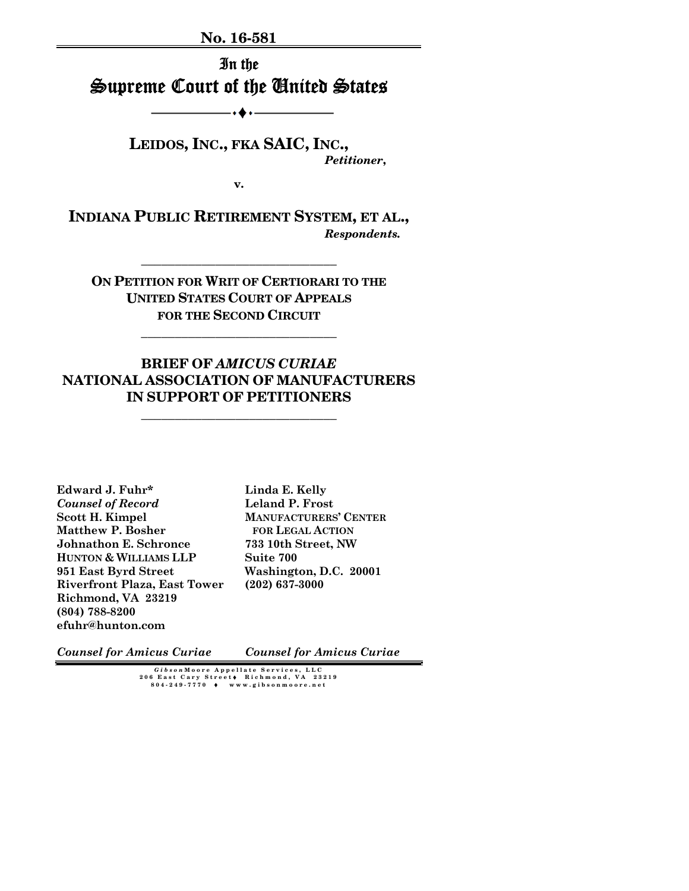**No. 16-581** 

In the Supreme Court of the United States

•◆•−

**LEIDOS, INC., FKA SAIC, INC.,**  *Petitioner***,** 

**v.** 

**INDIANA PUBLIC RETIREMENT SYSTEM, ET AL.,** *Respondents.* 

**\_\_\_\_\_\_\_\_\_\_\_\_\_\_\_\_\_\_\_\_\_\_\_\_\_\_\_\_\_** 

**ON PETITION FOR WRIT OF CERTIORARI TO THE UNITED STATES COURT OF APPEALS FOR THE SECOND CIRCUIT**

**\_\_\_\_\_\_\_\_\_\_\_\_\_\_\_\_\_\_\_\_\_\_\_\_\_\_\_\_\_** 

## **BRIEF OF** *AMICUS CURIAE* **NATIONAL ASSOCIATION OF MANUFACTURERS IN SUPPORT OF PETITIONERS**

**\_\_\_\_\_\_\_\_\_\_\_\_\_\_\_\_\_\_\_\_\_\_\_\_\_\_\_\_\_** 

**Edward J. Fuhr\***  *Counsel of Record*  **Scott H. Kimpel Matthew P. Bosher Johnathon E. Schronce HUNTON & WILLIAMS LLP 951 East Byrd Street Riverfront Plaza, East Tower Richmond, VA 23219 (804) 788-8200 efuhr@hunton.com** 

**Linda E. Kelly Leland P. Frost MANUFACTURERS' CENTER FOR LEGAL ACTION 733 10th Street, NW Suite 700 Washington, D.C. 20001 (202) 637-3000** 

*Counsel for Amicus Curiae*

*Counsel for Amicus Curiae* 

*Gibson* **Moore Appellate Services, LLC 206 East Cary Street** ♦ **Richmond, VA 23219 804-249-7770** ♦ **www.gibsonmoore.net**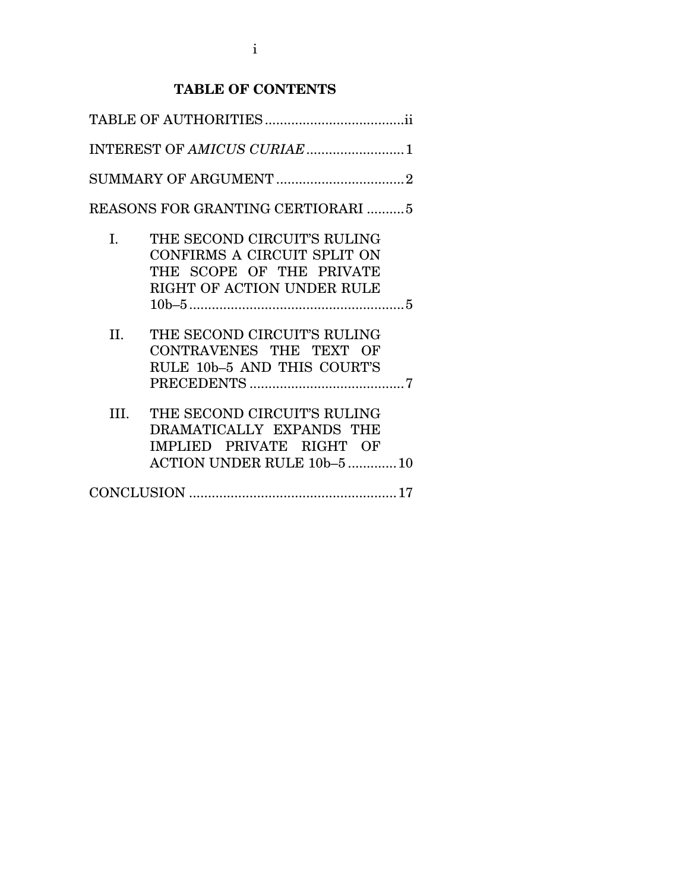## **TABLE OF CONTENTS**

| INTEREST OF AMICUS CURIAE1        |                                                                                                                      |  |  |  |
|-----------------------------------|----------------------------------------------------------------------------------------------------------------------|--|--|--|
|                                   |                                                                                                                      |  |  |  |
| REASONS FOR GRANTING CERTIORARI 5 |                                                                                                                      |  |  |  |
| $\mathbf{I}$ .                    | THE SECOND CIRCUIT'S RULING<br>CONFIRMS A CIRCUIT SPLIT ON<br>THE SCOPE OF THE PRIVATE<br>RIGHT OF ACTION UNDER RULE |  |  |  |
|                                   |                                                                                                                      |  |  |  |
| II.                               | THE SECOND CIRCUIT'S RULING<br>CONTRAVENES THE TEXT OF<br>RULE 10b-5 AND THIS COURT'S                                |  |  |  |
| III.                              | THE SECOND CIRCUIT'S RULING<br>DRAMATICALLY EXPANDS THE<br>IMPLIED PRIVATE RIGHT OF<br>ACTION UNDER RULE 10b-5  10   |  |  |  |
|                                   |                                                                                                                      |  |  |  |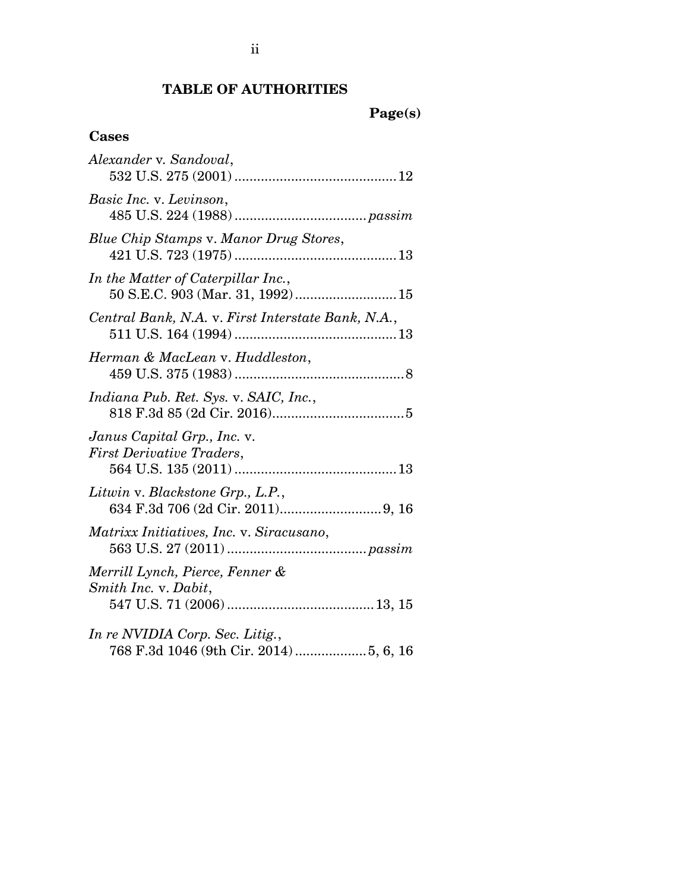## **TABLE OF AUTHORITIES**

# **Cases**

| Alexander v. Sandoval,                                                 |
|------------------------------------------------------------------------|
| Basic Inc. v. Levinson,                                                |
| Blue Chip Stamps v. Manor Drug Stores,                                 |
| In the Matter of Caterpillar Inc.,<br>50 S.E.C. 903 (Mar. 31, 1992) 15 |
| Central Bank, N.A. v. First Interstate Bank, N.A.,                     |
| Herman & MacLean v. Huddleston,                                        |
| Indiana Pub. Ret. Sys. v. SAIC, Inc.,                                  |
| Janus Capital Grp., Inc. v.<br><b>First Derivative Traders,</b>        |
| Litwin v. Blackstone Grp., L.P.,                                       |
| Matrixx Initiatives, Inc. v. Siracusano,                               |
| Merrill Lynch, Pierce, Fenner &<br>Smith Inc. v. Dabit,                |
| In re NVIDIA Corp. Sec. Litig.,                                        |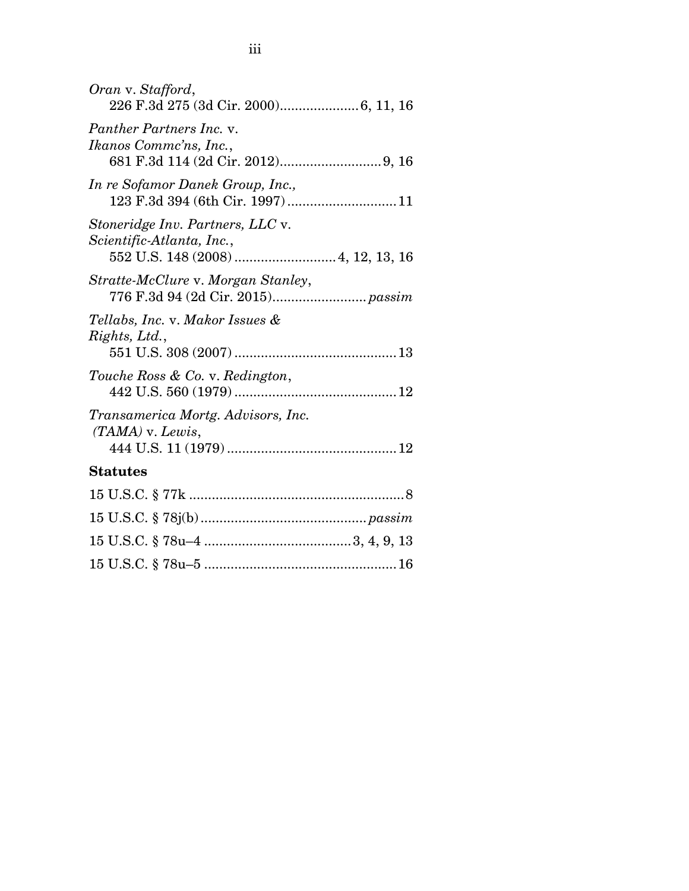| Oran v. Stafford,                                             |
|---------------------------------------------------------------|
| Panther Partners Inc. v.<br>Ikanos Comme'ns, Inc.,            |
| In re Sofamor Danek Group, Inc.,                              |
| Stoneridge Inv. Partners, LLC v.<br>Scientific-Atlanta, Inc., |
| Stratte-McClure v. Morgan Stanley,                            |
| Tellabs, Inc. v. Makor Issues &<br>Rights, Ltd.,              |
| Touche Ross & Co. v. Redington,                               |
| Transamerica Mortg. Advisors, Inc.<br>$(TAMA)$ v. Lewis,      |
| <b>Statutes</b>                                               |
|                                                               |
|                                                               |
|                                                               |
|                                                               |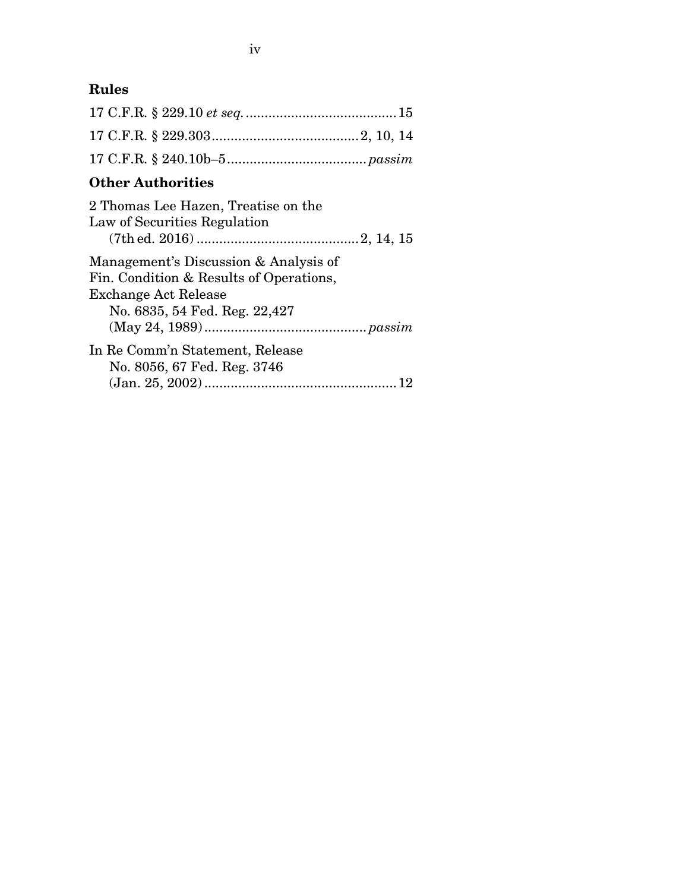# **Rules**

# **Other Authorities**

| 2 Thomas Lee Hazen, Treatise on the<br>Law of Securities Regulation |  |  |  |
|---------------------------------------------------------------------|--|--|--|
|                                                                     |  |  |  |
| Management's Discussion & Analysis of                               |  |  |  |
| Fin. Condition & Results of Operations,                             |  |  |  |
| Exchange Act Release                                                |  |  |  |
| No. 6835, 54 Fed. Reg. 22,427                                       |  |  |  |
|                                                                     |  |  |  |
| In Re Comm'n Statement, Release                                     |  |  |  |
| No. 8056, 67 Fed. Reg. 3746                                         |  |  |  |
|                                                                     |  |  |  |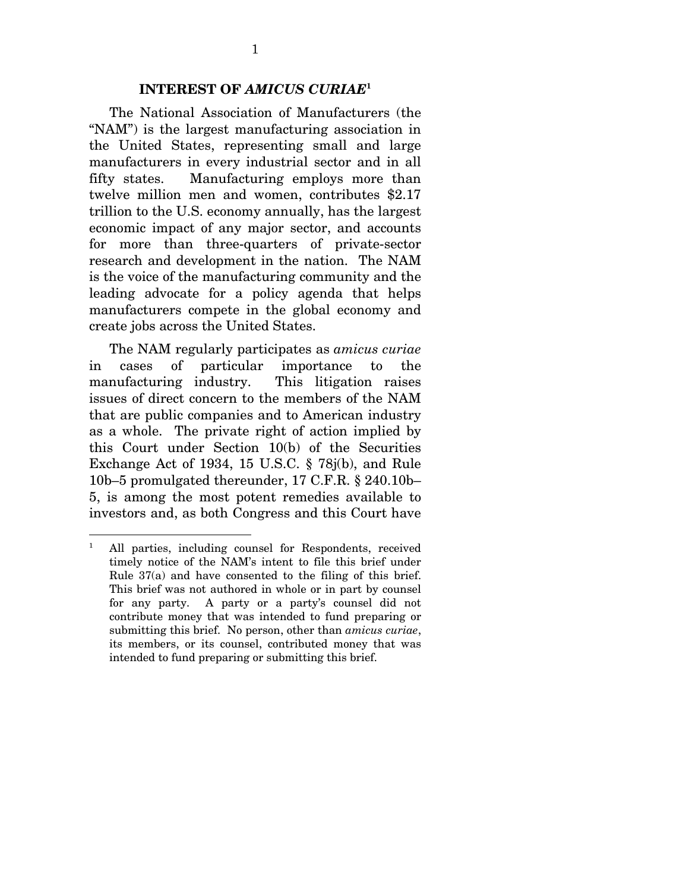#### **INTEREST OF** *AMICUS CURIAE***<sup>1</sup>**

 The National Association of Manufacturers (the "NAM") is the largest manufacturing association in the United States, representing small and large manufacturers in every industrial sector and in all fifty states. Manufacturing employs more than twelve million men and women, contributes \$2.17 trillion to the U.S. economy annually, has the largest economic impact of any major sector, and accounts for more than three-quarters of private-sector research and development in the nation. The NAM is the voice of the manufacturing community and the leading advocate for a policy agenda that helps manufacturers compete in the global economy and create jobs across the United States.

 The NAM regularly participates as *amicus curiae*  in cases of particular importance to the manufacturing industry. This litigation raises issues of direct concern to the members of the NAM that are public companies and to American industry as a whole. The private right of action implied by this Court under Section 10(b) of the Securities Exchange Act of 1934, 15 U.S.C. § 78j(b), and Rule 10b–5 promulgated thereunder, 17 C.F.R. § 240.10b– 5, is among the most potent remedies available to investors and, as both Congress and this Court have

 $\overline{a}$ 

<sup>1</sup> All parties, including counsel for Respondents, received timely notice of the NAM's intent to file this brief under Rule 37(a) and have consented to the filing of this brief. This brief was not authored in whole or in part by counsel for any party. A party or a party's counsel did not contribute money that was intended to fund preparing or submitting this brief. No person, other than *amicus curiae*, its members, or its counsel, contributed money that was intended to fund preparing or submitting this brief.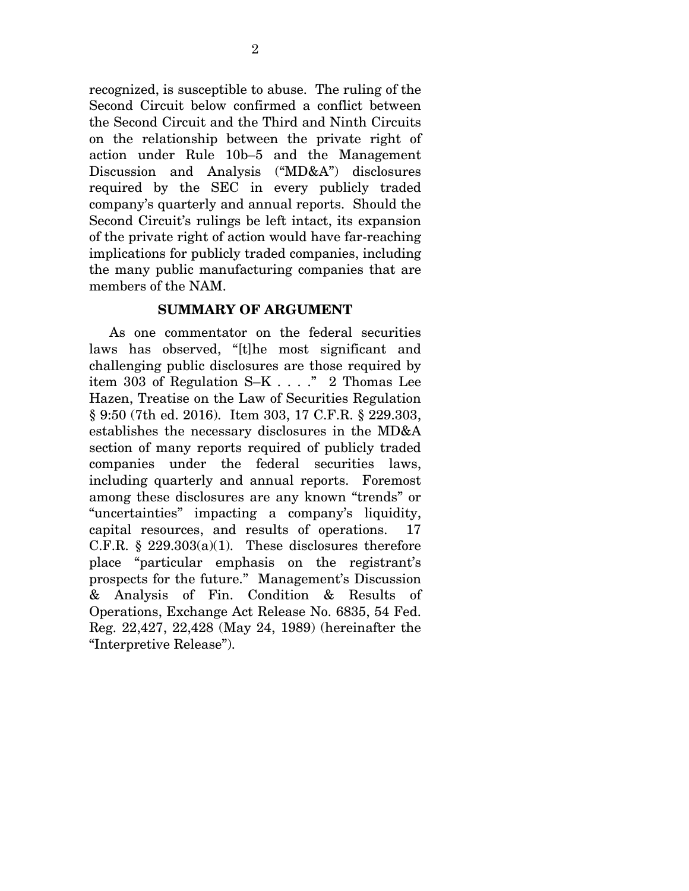recognized, is susceptible to abuse. The ruling of the Second Circuit below confirmed a conflict between the Second Circuit and the Third and Ninth Circuits on the relationship between the private right of action under Rule 10b–5 and the Management Discussion and Analysis ("MD&A") disclosures required by the SEC in every publicly traded company's quarterly and annual reports. Should the Second Circuit's rulings be left intact, its expansion of the private right of action would have far-reaching implications for publicly traded companies, including the many public manufacturing companies that are members of the NAM.

#### **SUMMARY OF ARGUMENT**

 As one commentator on the federal securities laws has observed, "[t]he most significant and challenging public disclosures are those required by item 303 of Regulation S–K . . . ." 2 Thomas Lee Hazen, Treatise on the Law of Securities Regulation § 9:50 (7th ed. 2016). Item 303, 17 C.F.R. § 229.303, establishes the necessary disclosures in the MD&A section of many reports required of publicly traded companies under the federal securities laws, including quarterly and annual reports. Foremost among these disclosures are any known "trends" or "uncertainties" impacting a company's liquidity, capital resources, and results of operations. 17 C.F.R. §  $229.303(a)(1)$ . These disclosures therefore place "particular emphasis on the registrant's prospects for the future." Management's Discussion & Analysis of Fin. Condition & Results of Operations, Exchange Act Release No. 6835, 54 Fed. Reg. 22,427, 22,428 (May 24, 1989) (hereinafter the "Interpretive Release").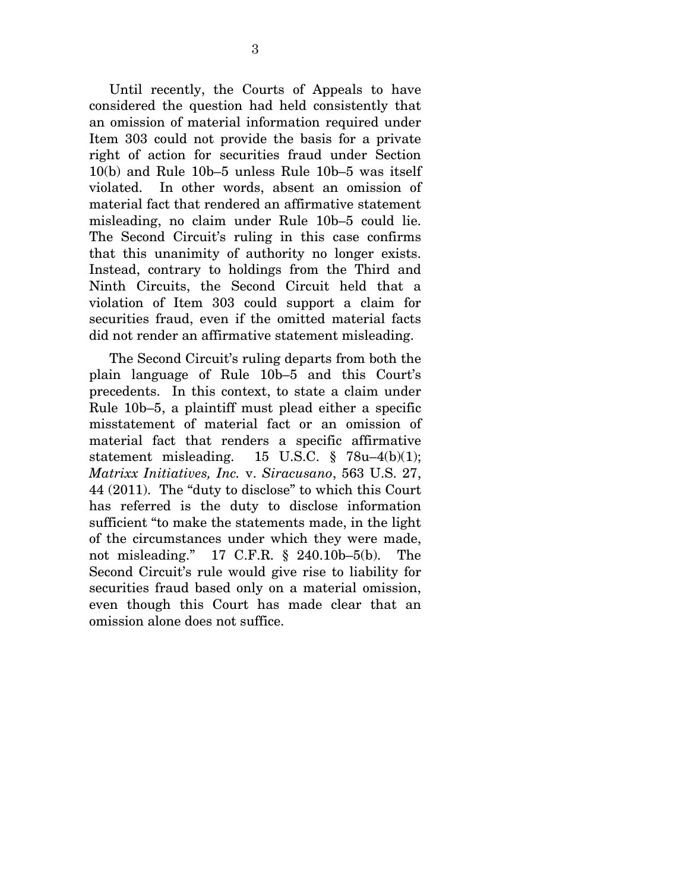Until recently, the Courts of Appeals to have considered the question had held consistently that an omission of material information required under Item 303 could not provide the basis for a private right of action for securities fraud under Section 10(b) and Rule 10b–5 unless Rule 10b–5 was itself violated. In other words, absent an omission of material fact that rendered an affirmative statement misleading, no claim under Rule 10b–5 could lie. The Second Circuit's ruling in this case confirms that this unanimity of authority no longer exists. Instead, contrary to holdings from the Third and Ninth Circuits, the Second Circuit held that a violation of Item 303 could support a claim for securities fraud, even if the omitted material facts did not render an affirmative statement misleading.

 The Second Circuit's ruling departs from both the plain language of Rule 10b–5 and this Court's precedents. In this context, to state a claim under Rule 10b–5, a plaintiff must plead either a specific misstatement of material fact or an omission of material fact that renders a specific affirmative statement misleading. 15 U.S.C.  $\frac{8}{9}$  78u–4(b)(1); *Matrixx Initiatives, Inc.* v. *Siracusano*, 563 U.S. 27, 44 (2011). The "duty to disclose" to which this Court has referred is the duty to disclose information sufficient "to make the statements made, in the light of the circumstances under which they were made, not misleading." 17 C.F.R. § 240.10b–5(b). The Second Circuit's rule would give rise to liability for securities fraud based only on a material omission, even though this Court has made clear that an omission alone does not suffice.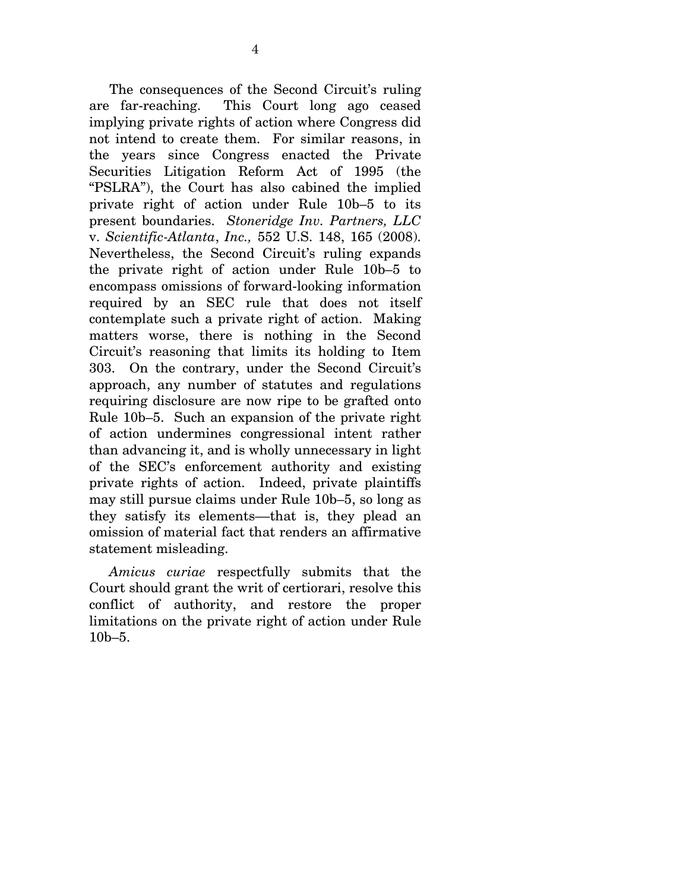The consequences of the Second Circuit's ruling are far-reaching. This Court long ago ceased implying private rights of action where Congress did not intend to create them. For similar reasons, in the years since Congress enacted the Private Securities Litigation Reform Act of 1995 (the "PSLRA"), the Court has also cabined the implied private right of action under Rule 10b–5 to its present boundaries. *Stoneridge Inv. Partners, LLC*  v. *Scientific-Atlanta*, *Inc.,* 552 U.S. 148, 165 (2008). Nevertheless, the Second Circuit's ruling expands the private right of action under Rule 10b–5 to encompass omissions of forward-looking information required by an SEC rule that does not itself contemplate such a private right of action. Making matters worse, there is nothing in the Second Circuit's reasoning that limits its holding to Item 303. On the contrary, under the Second Circuit's approach, any number of statutes and regulations requiring disclosure are now ripe to be grafted onto Rule 10b–5. Such an expansion of the private right of action undermines congressional intent rather than advancing it, and is wholly unnecessary in light of the SEC's enforcement authority and existing private rights of action. Indeed, private plaintiffs may still pursue claims under Rule 10b–5, so long as they satisfy its elements––that is, they plead an omission of material fact that renders an affirmative statement misleading.

*Amicus curiae* respectfully submits that the Court should grant the writ of certiorari, resolve this conflict of authority, and restore the proper limitations on the private right of action under Rule 10b–5.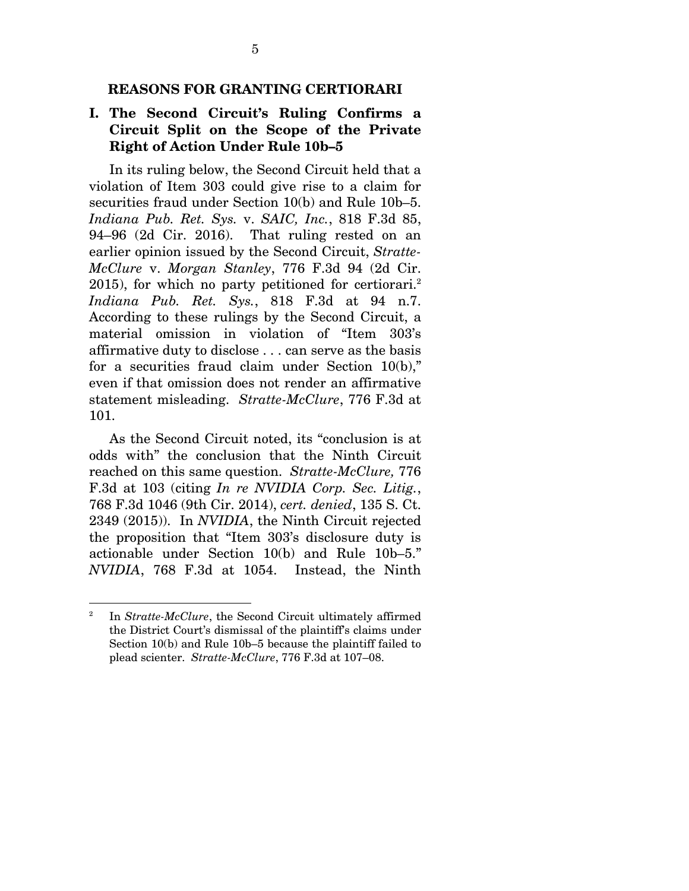#### **REASONS FOR GRANTING CERTIORARI**

### **I. The Second Circuit's Ruling Confirms a Circuit Split on the Scope of the Private Right of Action Under Rule 10b–5**

 In its ruling below, the Second Circuit held that a violation of Item 303 could give rise to a claim for securities fraud under Section 10(b) and Rule 10b–5. *Indiana Pub. Ret. Sys.* v. *SAIC, Inc.*, 818 F.3d 85, 94–96 (2d Cir. 2016). That ruling rested on an earlier opinion issued by the Second Circuit, *Stratte-McClure* v. *Morgan Stanley*, 776 F.3d 94 (2d Cir. 2015), for which no party petitioned for certiorari.<sup>2</sup> *Indiana Pub. Ret. Sys.*, 818 F.3d at 94 n.7. According to these rulings by the Second Circuit, a material omission in violation of "Item 303's affirmative duty to disclose . . . can serve as the basis for a securities fraud claim under Section 10(b)," even if that omission does not render an affirmative statement misleading. *Stratte-McClure*, 776 F.3d at 101.

 As the Second Circuit noted, its "conclusion is at odds with" the conclusion that the Ninth Circuit reached on this same question. *Stratte-McClure,* 776 F.3d at 103 (citing *In re NVIDIA Corp. Sec. Litig.*, 768 F.3d 1046 (9th Cir. 2014), *cert. denied*, 135 S. Ct. 2349 (2015)). In *NVIDIA*, the Ninth Circuit rejected the proposition that "Item 303's disclosure duty is actionable under Section 10(b) and Rule 10b–5." *NVIDIA*, 768 F.3d at 1054. Instead, the Ninth

 $\overline{a}$ 

<sup>2</sup> In *Stratte-McClure*, the Second Circuit ultimately affirmed the District Court's dismissal of the plaintiff's claims under Section 10(b) and Rule 10b–5 because the plaintiff failed to plead scienter. *Stratte-McClure*, 776 F.3d at 107–08.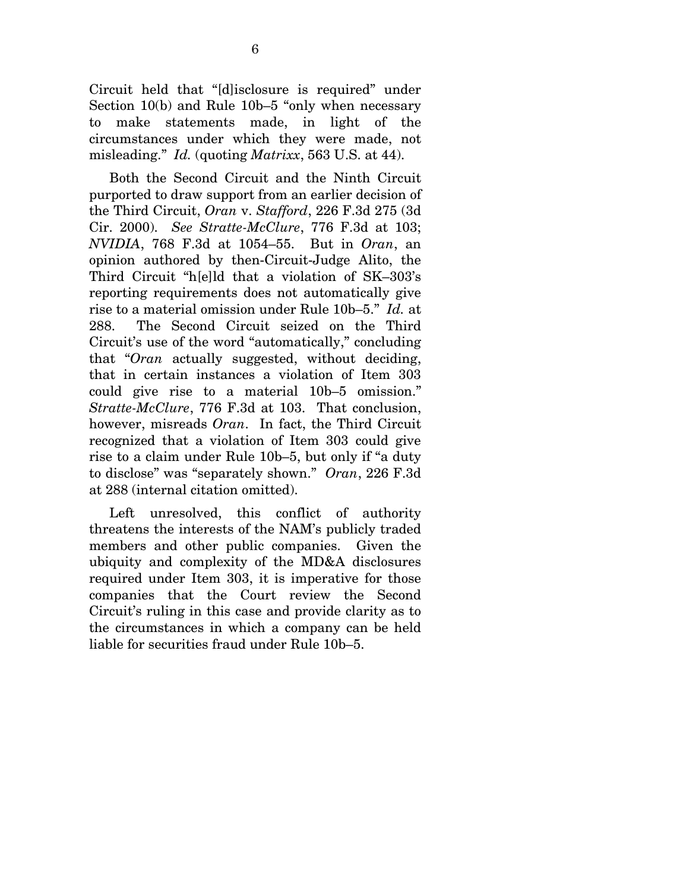Circuit held that "[d]isclosure is required" under Section 10(b) and Rule 10b–5 "only when necessary to make statements made, in light of the circumstances under which they were made, not misleading." *Id.* (quoting *Matrixx*, 563 U.S. at 44).

 Both the Second Circuit and the Ninth Circuit purported to draw support from an earlier decision of the Third Circuit, *Oran* v. *Stafford*, 226 F.3d 275 (3d Cir. 2000). *See Stratte-McClure*, 776 F.3d at 103; *NVIDIA*, 768 F.3d at 1054–55. But in *Oran*, an opinion authored by then-Circuit-Judge Alito, the Third Circuit "h[e]ld that a violation of SK–303's reporting requirements does not automatically give rise to a material omission under Rule 10b–5." *Id.* at 288. The Second Circuit seized on the Third Circuit's use of the word "automatically," concluding that "*Oran* actually suggested, without deciding, that in certain instances a violation of Item 303 could give rise to a material 10b–5 omission." *Stratte-McClure*, 776 F.3d at 103. That conclusion, however, misreads *Oran*. In fact, the Third Circuit recognized that a violation of Item 303 could give rise to a claim under Rule 10b–5, but only if "a duty to disclose" was "separately shown." *Oran*, 226 F.3d at 288 (internal citation omitted).

 Left unresolved, this conflict of authority threatens the interests of the NAM's publicly traded members and other public companies. Given the ubiquity and complexity of the MD&A disclosures required under Item 303, it is imperative for those companies that the Court review the Second Circuit's ruling in this case and provide clarity as to the circumstances in which a company can be held liable for securities fraud under Rule 10b–5.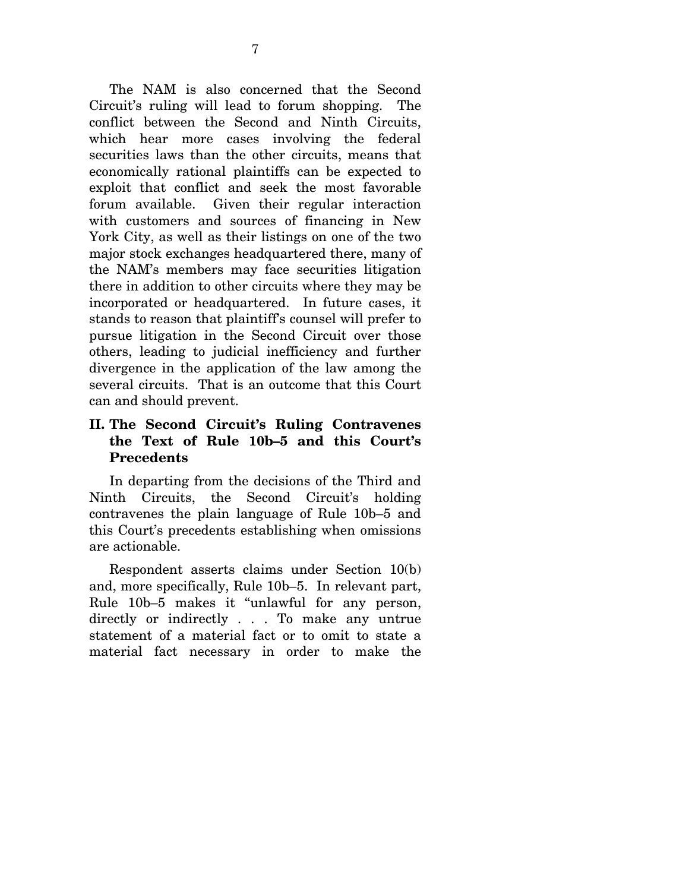The NAM is also concerned that the Second Circuit's ruling will lead to forum shopping. The conflict between the Second and Ninth Circuits, which hear more cases involving the federal securities laws than the other circuits, means that economically rational plaintiffs can be expected to exploit that conflict and seek the most favorable forum available. Given their regular interaction with customers and sources of financing in New York City, as well as their listings on one of the two major stock exchanges headquartered there, many of the NAM's members may face securities litigation there in addition to other circuits where they may be incorporated or headquartered. In future cases, it stands to reason that plaintiff's counsel will prefer to pursue litigation in the Second Circuit over those others, leading to judicial inefficiency and further divergence in the application of the law among the several circuits. That is an outcome that this Court can and should prevent.

## **II. The Second Circuit's Ruling Contravenes the Text of Rule 10b–5 and this Court's Precedents**

 In departing from the decisions of the Third and Ninth Circuits, the Second Circuit's holding contravenes the plain language of Rule 10b–5 and this Court's precedents establishing when omissions are actionable.

 Respondent asserts claims under Section 10(b) and, more specifically, Rule 10b–5. In relevant part, Rule 10b–5 makes it "unlawful for any person, directly or indirectly . . . To make any untrue statement of a material fact or to omit to state a material fact necessary in order to make the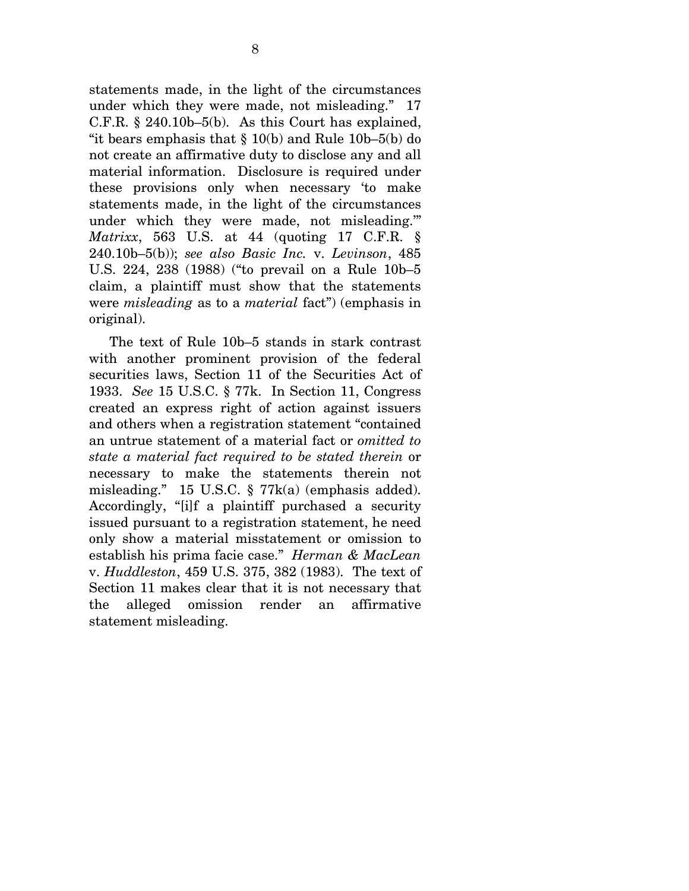statements made, in the light of the circumstances under which they were made, not misleading." 17 C.F.R. § 240.10b–5(b). As this Court has explained, "it bears emphasis that  $\S 10(b)$  and Rule 10b–5(b) do not create an affirmative duty to disclose any and all material information. Disclosure is required under these provisions only when necessary 'to make statements made, in the light of the circumstances under which they were made, not misleading.'" *Matrixx*, 563 U.S. at 44 (quoting 17 C.F.R. § 240.10b–5(b)); *see also Basic Inc.* v. *Levinson*, 485 U.S. 224, 238 (1988) ("to prevail on a Rule 10b–5 claim, a plaintiff must show that the statements were *misleading* as to a *material* fact") (emphasis in original).

 The text of Rule 10b–5 stands in stark contrast with another prominent provision of the federal securities laws, Section 11 of the Securities Act of 1933. *See* 15 U.S.C. § 77k. In Section 11, Congress created an express right of action against issuers and others when a registration statement "contained an untrue statement of a material fact or *omitted to state a material fact required to be stated therein* or necessary to make the statements therein not misleading." 15 U.S.C. § 77k(a) (emphasis added). Accordingly, "[i]f a plaintiff purchased a security issued pursuant to a registration statement, he need only show a material misstatement or omission to establish his prima facie case." *Herman & MacLean* v. *Huddleston*, 459 U.S. 375, 382 (1983). The text of Section 11 makes clear that it is not necessary that the alleged omission render an affirmative statement misleading.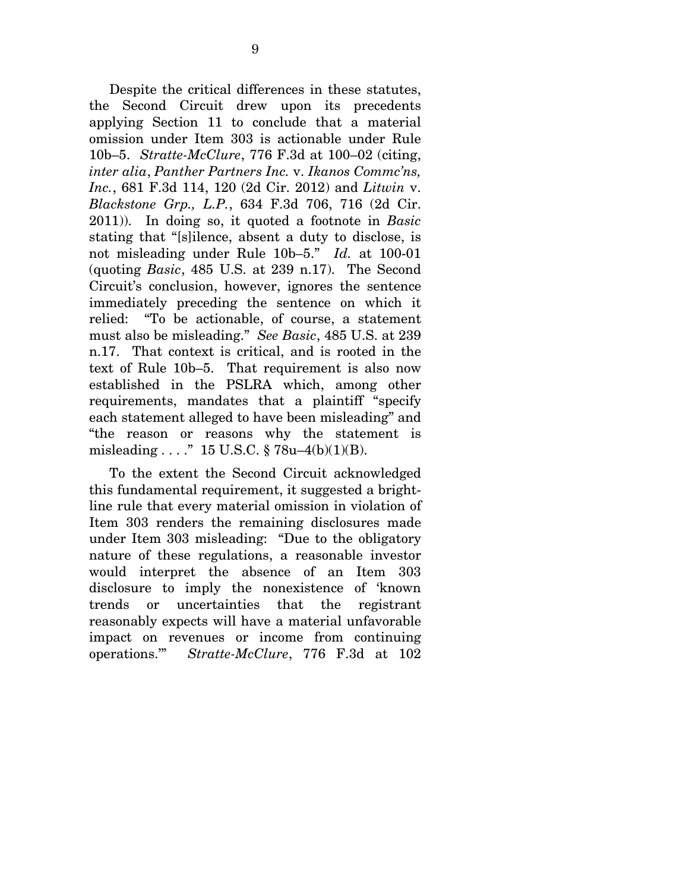Despite the critical differences in these statutes, the Second Circuit drew upon its precedents applying Section 11 to conclude that a material omission under Item 303 is actionable under Rule 10b–5. *Stratte-McClure*, 776 F.3d at 100–02 (citing, *inter alia*, *Panther Partners Inc.* v. *Ikanos Commc'ns, Inc.*, 681 F.3d 114, 120 (2d Cir. 2012) and *Litwin* v. *Blackstone Grp., L.P.*, 634 F.3d 706, 716 (2d Cir. 2011)). In doing so, it quoted a footnote in *Basic* stating that "[s]ilence, absent a duty to disclose, is not misleading under Rule 10b–5." *Id.* at 100-01 (quoting *Basic*, 485 U.S. at 239 n.17). The Second Circuit's conclusion, however, ignores the sentence immediately preceding the sentence on which it relied: "To be actionable, of course, a statement must also be misleading." *See Basic*, 485 U.S. at 239 n.17. That context is critical, and is rooted in the text of Rule 10b–5. That requirement is also now established in the PSLRA which, among other requirements, mandates that a plaintiff "specify each statement alleged to have been misleading" and "the reason or reasons why the statement is misleading . . . ." 15 U.S.C. § 78u–4(b)(1)(B).

 To the extent the Second Circuit acknowledged this fundamental requirement, it suggested a brightline rule that every material omission in violation of Item 303 renders the remaining disclosures made under Item 303 misleading: "Due to the obligatory nature of these regulations, a reasonable investor would interpret the absence of an Item 303 disclosure to imply the nonexistence of 'known trends or uncertainties that the registrant reasonably expects will have a material unfavorable impact on revenues or income from continuing operations.'" *Stratte-McClure*, 776 F.3d at 102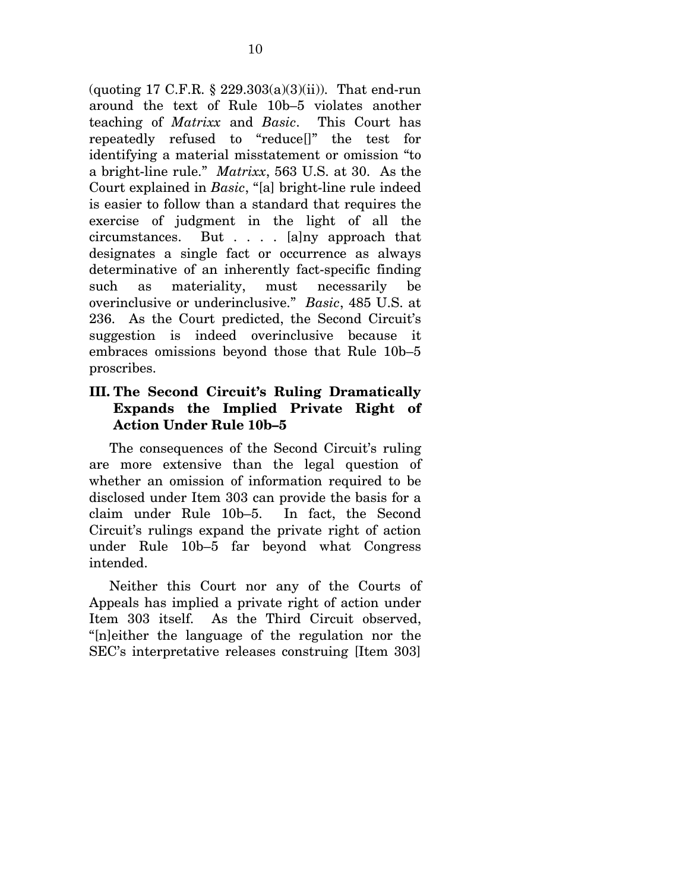(quoting 17 C.F.R.  $\S 229.303(a)(3)(ii)$ ). That end-run around the text of Rule 10b–5 violates another teaching of *Matrixx* and *Basic*. This Court has repeatedly refused to "reduce[]" the test for identifying a material misstatement or omission "to a bright-line rule." *Matrixx*, 563 U.S. at 30. As the Court explained in *Basic*, "[a] bright-line rule indeed is easier to follow than a standard that requires the exercise of judgment in the light of all the circumstances. But . . . . [a]ny approach that designates a single fact or occurrence as always determinative of an inherently fact-specific finding such as materiality, must necessarily be overinclusive or underinclusive." *Basic*, 485 U.S. at 236. As the Court predicted, the Second Circuit's suggestion is indeed overinclusive because it embraces omissions beyond those that Rule 10b–5 proscribes.

### **III. The Second Circuit's Ruling Dramatically Expands the Implied Private Right of Action Under Rule 10b–5**

 The consequences of the Second Circuit's ruling are more extensive than the legal question of whether an omission of information required to be disclosed under Item 303 can provide the basis for a claim under Rule 10b–5. In fact, the Second Circuit's rulings expand the private right of action under Rule 10b–5 far beyond what Congress intended.

 Neither this Court nor any of the Courts of Appeals has implied a private right of action under Item 303 itself. As the Third Circuit observed, "[n]either the language of the regulation nor the SEC's interpretative releases construing [Item 303]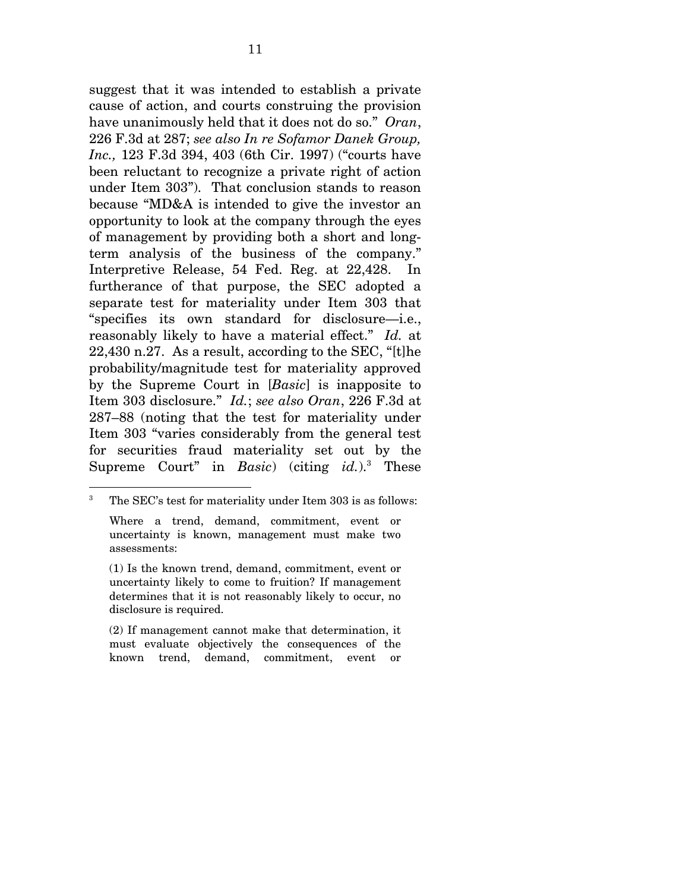suggest that it was intended to establish a private cause of action, and courts construing the provision have unanimously held that it does not do so." *Oran*, 226 F.3d at 287; *see also In re Sofamor Danek Group, Inc.,* 123 F.3d 394, 403 (6th Cir. 1997) ("courts have been reluctant to recognize a private right of action under Item 303"). That conclusion stands to reason because "MD&A is intended to give the investor an opportunity to look at the company through the eyes of management by providing both a short and longterm analysis of the business of the company." Interpretive Release, 54 Fed. Reg. at 22,428. In furtherance of that purpose, the SEC adopted a separate test for materiality under Item 303 that "specifies its own standard for disclosure—i.e., reasonably likely to have a material effect." *Id.* at 22,430 n.27. As a result, according to the SEC, "[t]he probability/magnitude test for materiality approved by the Supreme Court in [*Basic*] is inapposite to Item 303 disclosure." *Id.*; *see also Oran*, 226 F.3d at 287–88 (noting that the test for materiality under Item 303 "varies considerably from the general test for securities fraud materiality set out by the Supreme Court" in *Basic*) (citing *id.*).3 These

 $\overline{a}$ 

<sup>3</sup> The SEC's test for materiality under Item 303 is as follows:

Where a trend, demand, commitment, event or uncertainty is known, management must make two assessments:

<sup>(1)</sup> Is the known trend, demand, commitment, event or uncertainty likely to come to fruition? If management determines that it is not reasonably likely to occur, no disclosure is required.

<sup>(2)</sup> If management cannot make that determination, it must evaluate objectively the consequences of the known trend, demand, commitment, event or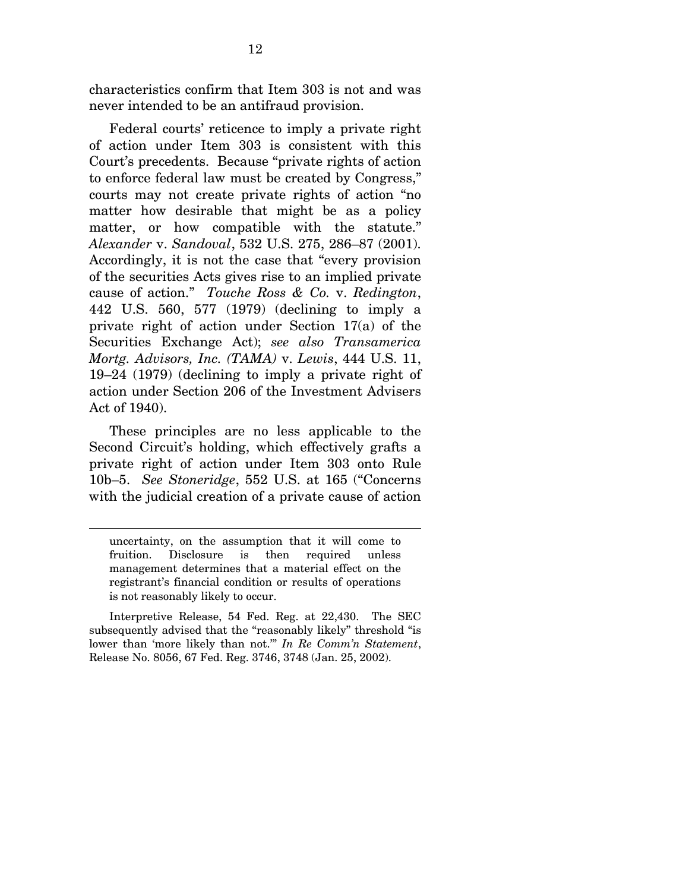characteristics confirm that Item 303 is not and was never intended to be an antifraud provision.

 Federal courts' reticence to imply a private right of action under Item 303 is consistent with this Court's precedents. Because "private rights of action to enforce federal law must be created by Congress," courts may not create private rights of action "no matter how desirable that might be as a policy matter, or how compatible with the statute." *Alexander* v. *Sandoval*, 532 U.S. 275, 286–87 (2001). Accordingly, it is not the case that "every provision of the securities Acts gives rise to an implied private cause of action." *Touche Ross & Co.* v. *Redington*, 442 U.S. 560, 577 (1979) (declining to imply a private right of action under Section 17(a) of the Securities Exchange Act); *see also Transamerica Mortg. Advisors, Inc. (TAMA)* v. *Lewis*, 444 U.S. 11, 19–24 (1979) (declining to imply a private right of action under Section 206 of the Investment Advisers Act of 1940).

 These principles are no less applicable to the Second Circuit's holding, which effectively grafts a private right of action under Item 303 onto Rule 10b–5. *See Stoneridge*, 552 U.S. at 165 ("Concerns with the judicial creation of a private cause of action

 $\overline{a}$ 

uncertainty, on the assumption that it will come to fruition. Disclosure is then required unless management determines that a material effect on the registrant's financial condition or results of operations is not reasonably likely to occur.

Interpretive Release, 54 Fed. Reg. at 22,430. The SEC subsequently advised that the "reasonably likely" threshold "is lower than 'more likely than not.'" *In Re Comm'n Statement*, Release No. 8056, 67 Fed. Reg. 3746, 3748 (Jan. 25, 2002).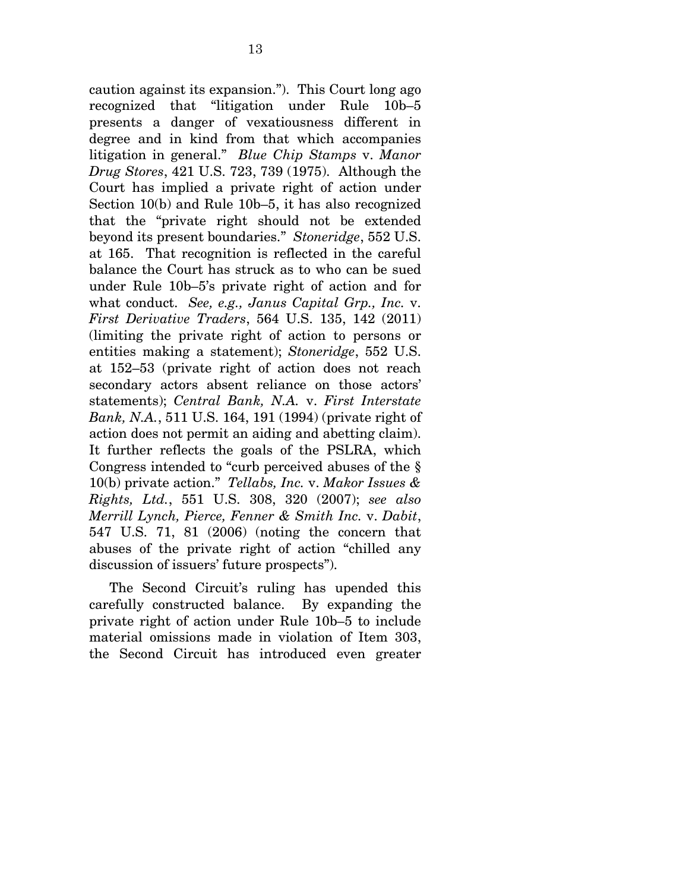caution against its expansion."). This Court long ago recognized that "litigation under Rule 10b–5 presents a danger of vexatiousness different in degree and in kind from that which accompanies litigation in general." *Blue Chip Stamps* v. *Manor Drug Stores*, 421 U.S. 723, 739 (1975). Although the Court has implied a private right of action under Section 10(b) and Rule 10b–5, it has also recognized that the "private right should not be extended beyond its present boundaries." *Stoneridge*, 552 U.S. at 165. That recognition is reflected in the careful balance the Court has struck as to who can be sued under Rule 10b–5's private right of action and for what conduct. *See, e.g., Janus Capital Grp., Inc.* v. *First Derivative Traders*, 564 U.S. 135, 142 (2011) (limiting the private right of action to persons or entities making a statement); *Stoneridge*, 552 U.S. at 152–53 (private right of action does not reach secondary actors absent reliance on those actors' statements); *Central Bank, N.A.* v. *First Interstate Bank, N.A.*, 511 U.S. 164, 191 (1994) (private right of action does not permit an aiding and abetting claim). It further reflects the goals of the PSLRA, which Congress intended to "curb perceived abuses of the § 10(b) private action." *Tellabs, Inc.* v. *Makor Issues & Rights, Ltd.*, 551 U.S. 308, 320 (2007); *see also Merrill Lynch, Pierce, Fenner & Smith Inc.* v. *Dabit*, 547 U.S. 71, 81 (2006) (noting the concern that abuses of the private right of action "chilled any discussion of issuers' future prospects").

 The Second Circuit's ruling has upended this carefully constructed balance. By expanding the private right of action under Rule 10b–5 to include material omissions made in violation of Item 303, the Second Circuit has introduced even greater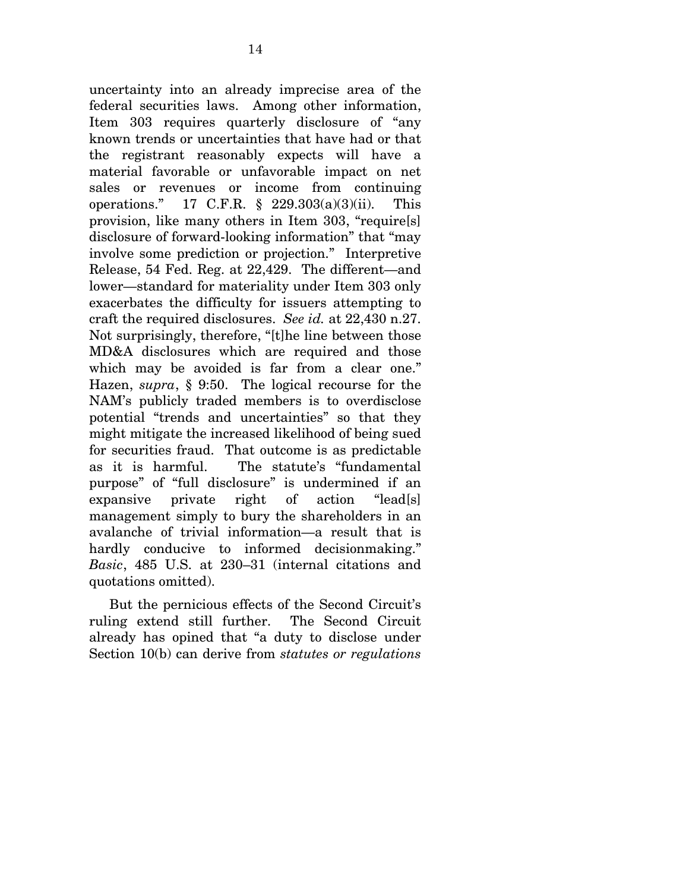uncertainty into an already imprecise area of the federal securities laws. Among other information, Item 303 requires quarterly disclosure of "any known trends or uncertainties that have had or that the registrant reasonably expects will have a material favorable or unfavorable impact on net sales or revenues or income from continuing operations." 17 C.F.R. § 229.303(a)(3)(ii). This provision, like many others in Item 303, "require[s] disclosure of forward-looking information" that "may involve some prediction or projection." Interpretive Release, 54 Fed. Reg. at 22,429. The different—and lower—standard for materiality under Item 303 only exacerbates the difficulty for issuers attempting to craft the required disclosures. *See id.* at 22,430 n.27. Not surprisingly, therefore, "[t]he line between those MD&A disclosures which are required and those which may be avoided is far from a clear one." Hazen, *supra*, § 9:50. The logical recourse for the NAM's publicly traded members is to overdisclose potential "trends and uncertainties" so that they might mitigate the increased likelihood of being sued for securities fraud. That outcome is as predictable as it is harmful. The statute's "fundamental purpose" of "full disclosure" is undermined if an expansive private right of action "lead[s] management simply to bury the shareholders in an avalanche of trivial information—a result that is hardly conducive to informed decisionmaking." *Basic*, 485 U.S. at 230–31 (internal citations and quotations omitted).

 But the pernicious effects of the Second Circuit's ruling extend still further. The Second Circuit already has opined that "a duty to disclose under Section 10(b) can derive from *statutes or regulations*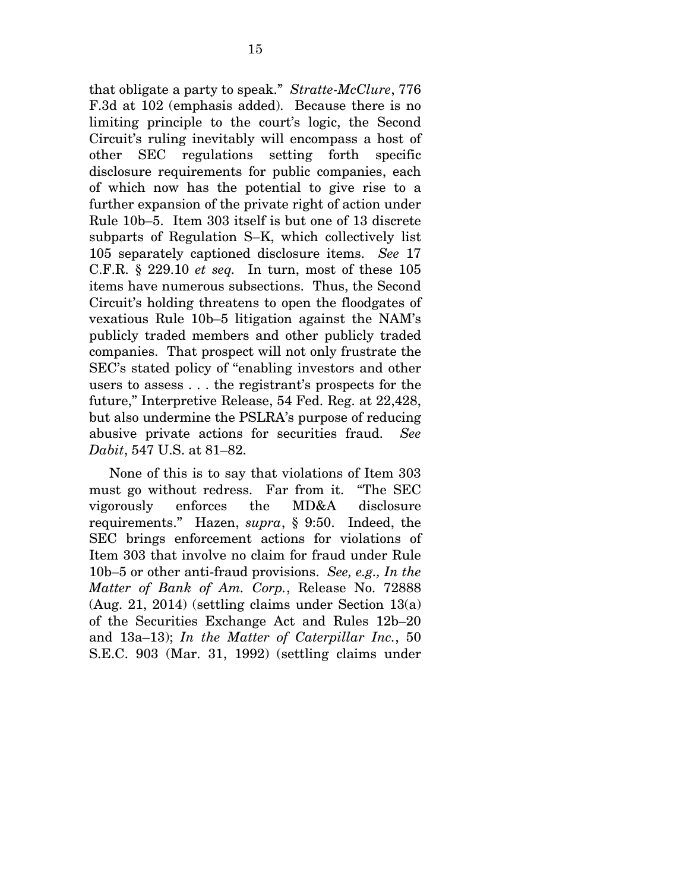that obligate a party to speak." *Stratte-McClure*, 776 F.3d at 102 (emphasis added). Because there is no limiting principle to the court's logic, the Second Circuit's ruling inevitably will encompass a host of other SEC regulations setting forth specific disclosure requirements for public companies, each of which now has the potential to give rise to a further expansion of the private right of action under Rule 10b–5. Item 303 itself is but one of 13 discrete subparts of Regulation S–K, which collectively list 105 separately captioned disclosure items. *See* 17 C.F.R. § 229.10 *et seq.* In turn, most of these 105 items have numerous subsections. Thus, the Second Circuit's holding threatens to open the floodgates of vexatious Rule 10b–5 litigation against the NAM's publicly traded members and other publicly traded companies. That prospect will not only frustrate the SEC's stated policy of "enabling investors and other users to assess . . . the registrant's prospects for the future," Interpretive Release, 54 Fed. Reg. at 22,428, but also undermine the PSLRA's purpose of reducing abusive private actions for securities fraud. *See Dabit*, 547 U.S. at 81–82.

 None of this is to say that violations of Item 303 must go without redress. Far from it. "The SEC vigorously enforces the MD&A disclosure requirements." Hazen, *supra*, § 9:50. Indeed, the SEC brings enforcement actions for violations of Item 303 that involve no claim for fraud under Rule 10b–5 or other anti-fraud provisions. *See, e.g., In the Matter of Bank of Am. Corp.*, Release No. 72888 (Aug. 21, 2014) (settling claims under Section 13(a) of the Securities Exchange Act and Rules 12b–20 and 13a–13); *In the Matter of Caterpillar Inc.*, 50 S.E.C. 903 (Mar. 31, 1992) (settling claims under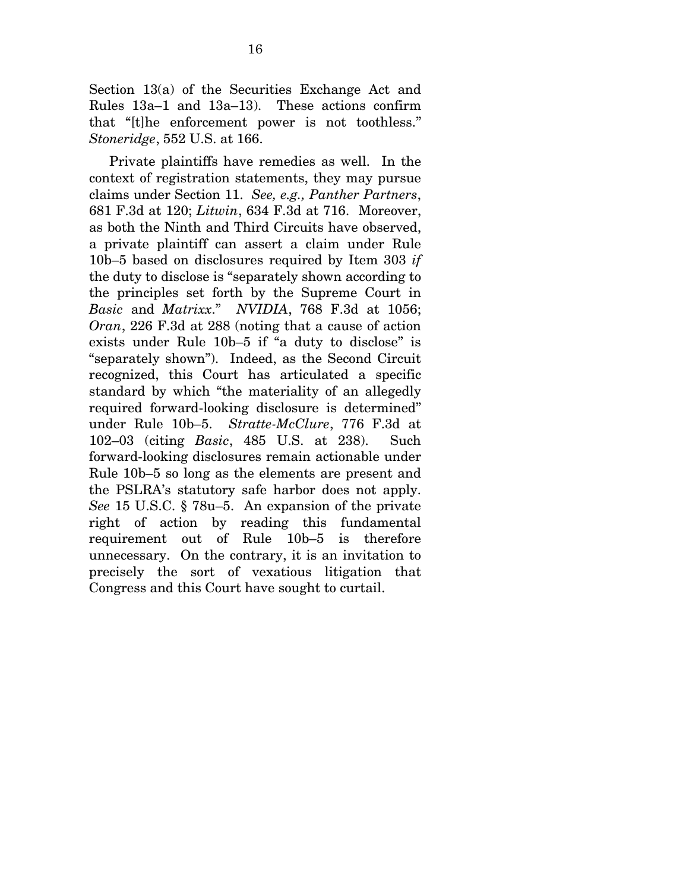Section 13(a) of the Securities Exchange Act and Rules 13a–1 and 13a–13). These actions confirm that "[t]he enforcement power is not toothless." *Stoneridge*, 552 U.S. at 166.

 Private plaintiffs have remedies as well. In the context of registration statements, they may pursue claims under Section 11. *See, e.g., Panther Partners*, 681 F.3d at 120; *Litwin*, 634 F.3d at 716. Moreover, as both the Ninth and Third Circuits have observed, a private plaintiff can assert a claim under Rule 10b–5 based on disclosures required by Item 303 *if* the duty to disclose is "separately shown according to the principles set forth by the Supreme Court in *Basic* and *Matrixx*." *NVIDIA*, 768 F.3d at 1056; *Oran*, 226 F.3d at 288 (noting that a cause of action exists under Rule 10b–5 if "a duty to disclose" is "separately shown"). Indeed, as the Second Circuit recognized, this Court has articulated a specific standard by which "the materiality of an allegedly required forward-looking disclosure is determined" under Rule 10b–5. *Stratte-McClure*, 776 F.3d at 102–03 (citing *Basic*, 485 U.S. at 238). Such forward-looking disclosures remain actionable under Rule 10b–5 so long as the elements are present and the PSLRA's statutory safe harbor does not apply. *See* 15 U.S.C. § 78u–5. An expansion of the private right of action by reading this fundamental requirement out of Rule 10b–5 is therefore unnecessary. On the contrary, it is an invitation to precisely the sort of vexatious litigation that Congress and this Court have sought to curtail.